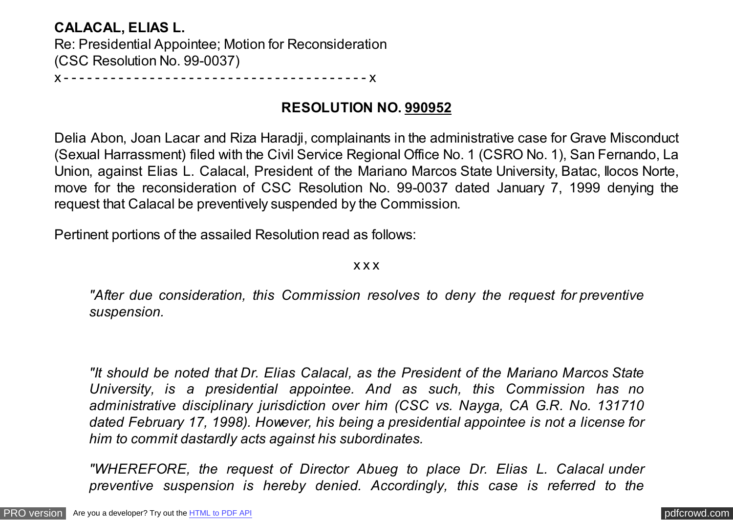## **CALACAL, ELIAS L.**

Re: Presidential Appointee; Motion for Reconsideration (CSC Resolution No. 99-0037)

x - - - - - - - - - - - - - - - - - - - - - - - - - - - - - - - - - - - - - - - x

## **RESOLUTION NO. 990952**

Delia Abon, Joan Lacar and Riza Haradji, complainants in the administrative case for Grave Misconduct (Sexual Harrassment) filed with the Civil Service Regional Office No. 1 (CSRO No. 1), San Fernando, La Union, against Elias L. Calacal, President of the Mariano Marcos State University, Batac, Ilocos Norte, move for the reconsideration of CSC Resolution No. 99-0037 dated January 7, 1999 denying the request that Calacal be preventively suspended by the Commission.

Pertinent portions of the assailed Resolution read as follows:

#### x x x

*"After due consideration, this Commission resolves to deny the request for preventive suspension.*

*"It should be noted that Dr. Elias Calacal, as the President of the Mariano Marcos State University, is a presidential appointee. And as such, this Commission has no administrative disciplinary jurisdiction over him (CSC vs. Nayga, CA G.R. No. 131710 dated February 17, 1998). However, his being a presidential appointee is not a license for him to commit dastardly acts against his subordinates.*

*"WHEREFORE, the request of Director Abueg to place Dr. Elias L. Calacal under preventive suspension is hereby denied. Accordingly, this case is referred to the*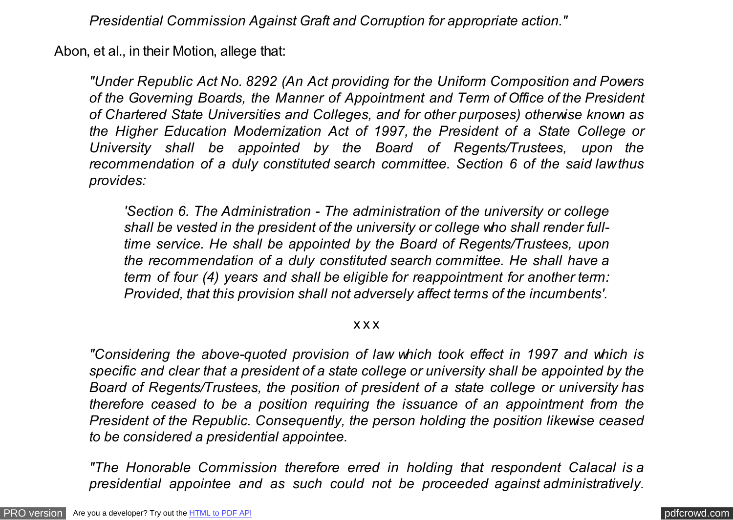*Presidential Commission Against Graft and Corruption for appropriate action."*

Abon, et al., in their Motion, allege that:

*"Under Republic Act No. 8292 (An Act providing for the Uniform Composition and Powers of the Governing Boards, the Manner of Appointment and Term of Office of the President of Chartered State Universities and Colleges, and for other purposes) otherwise known as the Higher Education Modernization Act of 1997, the President of a State College or University shall be appointed by the Board of Regents/Trustees, upon the recommendation of a duly constituted search committee. Section 6 of the said law thus provides:*

*'Section 6. The Administration - The administration of the university or college shall be vested in the president of the university or college who shall render fulltime service. He shall be appointed by the Board of Regents/Trustees, upon the recommendation of a duly constituted search committee. He shall have a term of four (4) years and shall be eligible for reappointment for another term: Provided, that this provision shall not adversely affect terms of the incumbents'.*

x x x

*"Considering the above-quoted provision of law which took effect in 1997 and which is specific and clear that a president of a state college or university shall be appointed by the Board of Regents/Trustees, the position of president of a state college or university has therefore ceased to be a position requiring the issuance of an appointment from the President of the Republic. Consequently, the person holding the position likewise ceased to be considered a presidential appointee.*

*"The Honorable Commission therefore erred in holding that respondent Calacal is a presidential appointee and as such could not be proceeded against administratively.*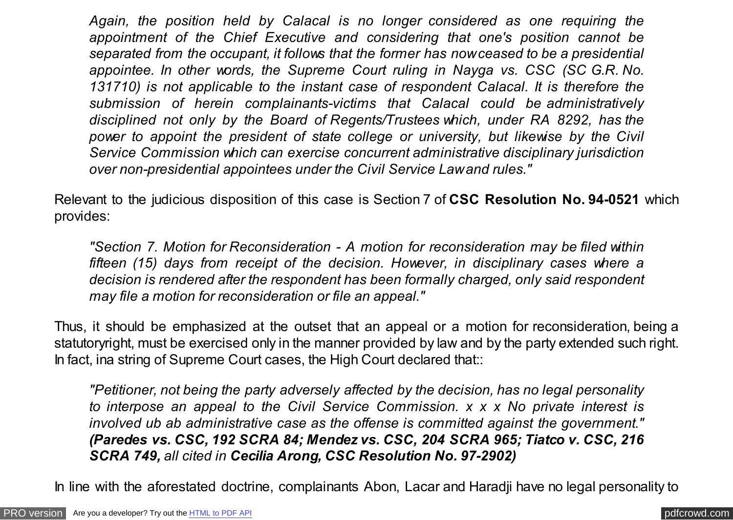*Again, the position held by Calacal is no longer considered as one requiring the appointment of the Chief Executive and considering that one's position cannot be separated from the occupant, it follows that the former has now ceased to be a presidential appointee. In other words, the Supreme Court ruling in Nayga vs. CSC (SC G.R. No. 131710) is not applicable to the instant case of respondent Calacal. It is therefore the submission of herein complainants-victims that Calacal could be administratively disciplined not only by the Board of Regents/Trustees which, under RA 8292, has the power to appoint the president of state college or university, but likewise by the Civil Service Commission which can exercise concurrent administrative disciplinary jurisdiction over non-presidential appointees under the Civil Service Law and rules."*

Relevant to the judicious disposition of this case is Section 7 of **CSC Resolution No. 94-0521** which provides:

*"Section 7. Motion for Reconsideration - A motion for reconsideration may be filed within fifteen (15) days from receipt of the decision. However, in disciplinary cases where a decision is rendered after the respondent has been formally charged, only said respondent may file a motion for reconsideration or file an appeal."*

Thus, it should be emphasized at the outset that an appeal or a motion for reconsideration, being a statutoryright, must be exercised only in the manner provided by law and by the party extended such right. In fact, ina string of Supreme Court cases, the High Court declared that::

*"Petitioner, not being the party adversely affected by the decision, has no legal personality to interpose an appeal to the Civil Service Commission. x x x No private interest is involved ub ab administrative case as the offense is committed against the government." (Paredes vs. CSC, 192 SCRA 84; Mendez vs. CSC, 204 SCRA 965; Tiatco v. CSC, 216 SCRA 749, all cited in Cecilia Arong, CSC Resolution No. 97-2902)*

In line with the aforestated doctrine, complainants Abon, Lacar and Haradji have no legal personality to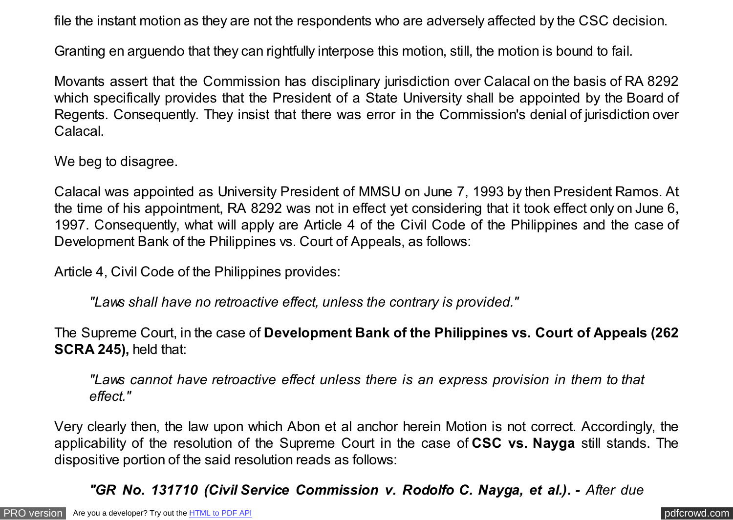file the instant motion as they are not the respondents who are adversely affected by the CSC decision.

Granting en arguendo that they can rightfully interpose this motion, still, the motion is bound to fail.

Movants assert that the Commission has disciplinary jurisdiction over Calacal on the basis of RA 8292 which specifically provides that the President of a State University shall be appointed by the Board of Regents. Consequently. They insist that there was error in the Commission's denial of jurisdiction over Calacal.

We beg to disagree.

Calacal was appointed as University President of MMSU on June 7, 1993 by then President Ramos. At the time of his appointment, RA 8292 was not in effect yet considering that it took effect only on June 6, 1997. Consequently, what will apply are Article 4 of the Civil Code of the Philippines and the case of Development Bank of the Philippines vs. Court of Appeals, as follows:

Article 4, Civil Code of the Philippines provides:

*"Laws shall have no retroactive effect, unless the contrary is provided."*

The Supreme Court, in the case of **Development Bank of the Philippines vs. Court of Appeals (262 SCRA 245),** held that:

*"Laws cannot have retroactive effect unless there is an express provision in them to that effect."*

Very clearly then, the law upon which Abon et al anchor herein Motion is not correct. Accordingly, the applicability of the resolution of the Supreme Court in the case of **CSC vs. Nayga** still stands. The dispositive portion of the said resolution reads as follows:

*"GR No. 131710 (Civil Service Commission v. Rodolfo C. Nayga, et al.). - After due*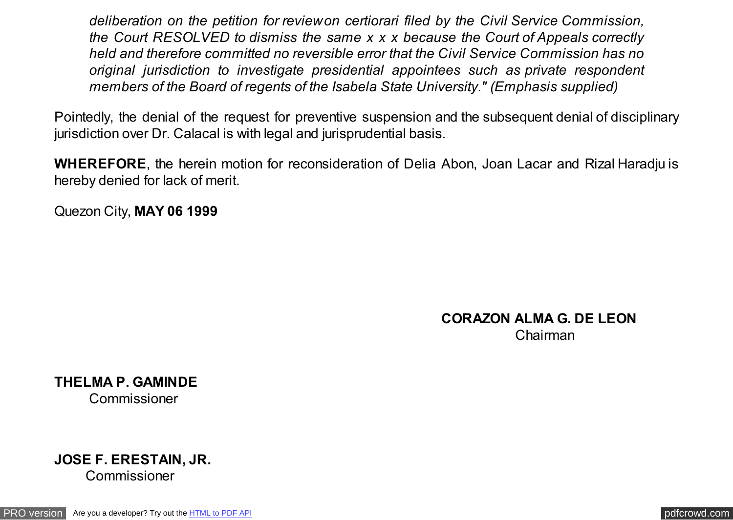*deliberation on the petition for review on certiorari filed by the Civil Service Commission, the Court RESOLVED to dismiss the same x x x because the Court of Appeals correctly held and therefore committed no reversible error that the Civil Service Commission has no original jurisdiction to investigate presidential appointees such as private respondent members of the Board of regents of the Isabela State University." (Emphasis supplied)*

Pointedly, the denial of the request for preventive suspension and the subsequent denial of disciplinary jurisdiction over Dr. Calacal is with legal and jurisprudential basis.

**WHEREFORE**, the herein motion for reconsideration of Delia Abon, Joan Lacar and Rizal Haradju is hereby denied for lack of merit.

Quezon City, **MAY 06 1999**

### **CORAZON ALMA G. DE LEON** Chairman

**THELMA P. GAMINDE** Commissioner

# **JOSE F. ERESTAIN, JR.**

Commissioner